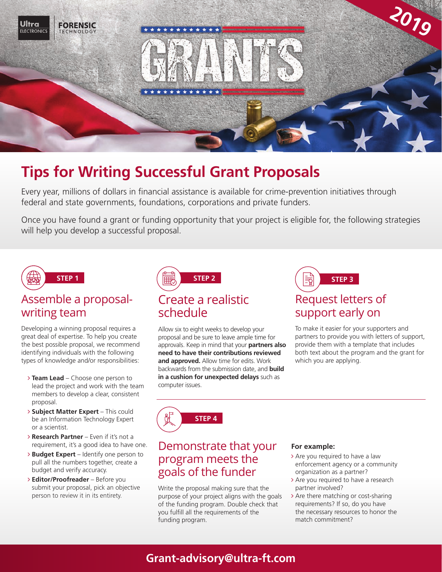

# **Tips for Writing Successful Grant Proposals**

Every year, millions of dollars in financial assistance is available for crime-prevention initiatives through federal and state governments, foundations, corporations and private funders.

Once you have found a grant or funding opportunity that your project is eligible for, the following strategies will help you develop a successful proposal.



#### Assemble a proposalwriting team

Developing a winning proposal requires a great deal of expertise. To help you create the best possible proposal, we recommend identifying individuals with the following types of knowledge and/or responsibilities:

- **Team Lead** Choose one person to lead the project and work with the team members to develop a clear, consistent proposal.
- **Subject Matter Expert** This could be an Information Technology Expert or a scientist.
- **Research Partner** Even if it's not a requirement, it's a good idea to have one.
- **Budget Expert** Identify one person to pull all the numbers together, create a budget and verify accuracy.
- **Editor/Proofreader**  Before you submit your proposal, pick an objective person to review it in its entirety.



Allow six to eight weeks to develop your proposal and be sure to leave ample time for approvals. Keep in mind that your **partners also need to have their contributions reviewed and approved.** Allow time for edits. Work backwards from the submission date, and **build in a cushion for unexpected delays** such as computer issues.



To make it easier for your supporters and partners to provide you with letters of support, provide them with a template that includes both text about the program and the grant for which you are applying.

**STEP 4**

#### Demonstrate that your program meets the goals of the funder

Write the proposal making sure that the purpose of your project aligns with the goals of the funding program. Double check that you fulfill all the requirements of the funding program.

#### **For example:**

- > Are you required to have a law enforcement agency or a community organization as a partner?
- > Are you required to have a research partner involved?
- > Are there matching or cost-sharing requirements? If so, do you have the necessary resources to honor the match commitment?

## **Grant-advisory@ultra-ft.com**